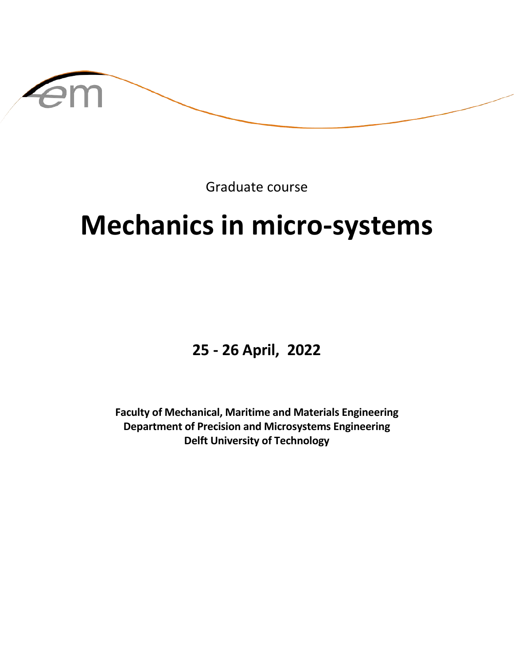

Graduate course

# **Mechanics in micro-systems**

**25 - 26 April, 2022**

**Faculty of Mechanical, Maritime and Materials Engineering Department of Precision and Microsystems Engineering Delft University of Technology**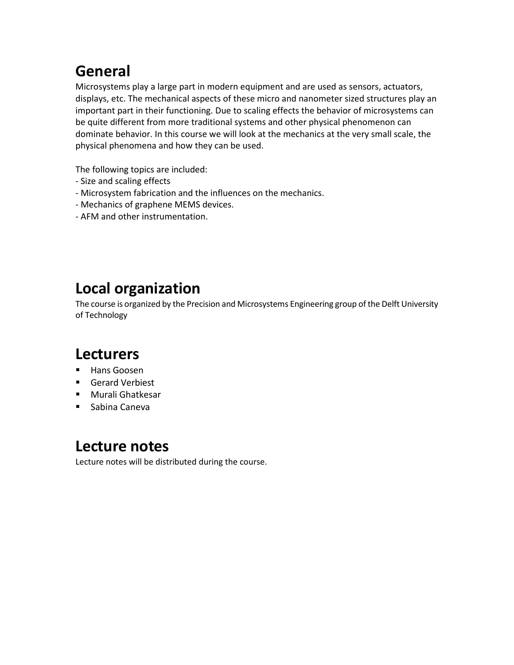## **General**

Microsystems play a large part in modern equipment and are used as sensors, actuators, displays, etc. The mechanical aspects of these micro and nanometer sized structures play an important part in their functioning. Due to scaling effects the behavior of microsystems can be quite different from more traditional systems and other physical phenomenon can dominate behavior. In this course we will look at the mechanics at the very small scale, the physical phenomena and how they can be used.

The following topics are included:

- Size and scaling effects
- Microsystem fabrication and the influences on the mechanics.
- Mechanics of graphene MEMS devices.
- AFM and other instrumentation.

## **Local organization**

The course is organized by the Precision and Microsystems Engineering group of the Delft University of Technology

#### **Lecturers**

- **Hans Goosen**
- Gerard Verbiest
- Murali Ghatkesar
- Sabina Caneva

#### **Lecture notes**

Lecture notes will be distributed during the course.